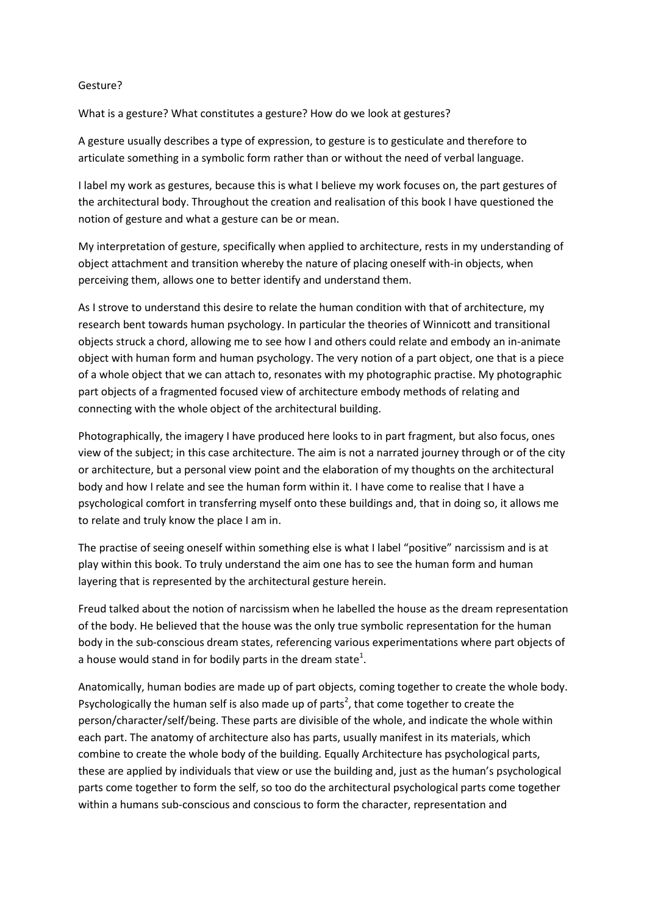## Gesture?

What is a gesture? What constitutes a gesture? How do we look at gestures?

A gesture usually describes a type of expression, to gesture is to gesticulate and therefore to articulate something in a symbolic form rather than or without the need of verbal language.

I label my work as gestures, because this is what I believe my work focuses on, the part gestures of the architectural body. Throughout the creation and realisation of this book I have questioned the notion of gesture and what a gesture can be or mean.

My interpretation of gesture, specifically when applied to architecture, rests in my understanding of object attachment and transition whereby the nature of placing oneself with-in objects, when perceiving them, allows one to better identify and understand them.

As I strove to understand this desire to relate the human condition with that of architecture, my research bent towards human psychology. In particular the theories of Winnicott and transitional objects struck a chord, allowing me to see how I and others could relate and embody an in-animate object with human form and human psychology. The very notion of a part object, one that is a piece of a whole object that we can attach to, resonates with my photographic practise. My photographic part objects of a fragmented focused view of architecture embody methods of relating and connecting with the whole object of the architectural building.

Photographically, the imagery I have produced here looks to in part fragment, but also focus, ones view of the subject; in this case architecture. The aim is not a narrated journey through or of the city or architecture, but a personal view point and the elaboration of my thoughts on the architectural body and how I relate and see the human form within it. I have come to realise that I have a psychological comfort in transferring myself onto these buildings and, that in doing so, it allows me to relate and truly know the place I am in.

The practise of seeing oneself within something else is what I label "positive" narcissism and is at play within this book. To truly understand the aim one has to see the human form and human layering that is represented by the architectural gesture herein.

Freud talked about the notion of narcissism when he labelled the house as the dream representation of the body. He believed that the house was the only true symbolic representation for the human body in the sub-conscious dream states, referencing various experimentations where part objects of a house would stand in for bodily parts in the dream state<sup>1</sup>.

Anatomically, human bodies are made up of part objects, coming together to create the whole body. Psychologically the human self is also made up of parts<sup>2</sup>, that come together to create the person/character/self/being. These parts are divisible of the whole, and indicate the whole within each part. The anatomy of architecture also has parts, usually manifest in its materials, which combine to create the whole body of the building. Equally Architecture has psychological parts, these are applied by individuals that view or use the building and, just as the human's psychological parts come together to form the self, so too do the architectural psychological parts come together within a humans sub-conscious and conscious to form the character, representation and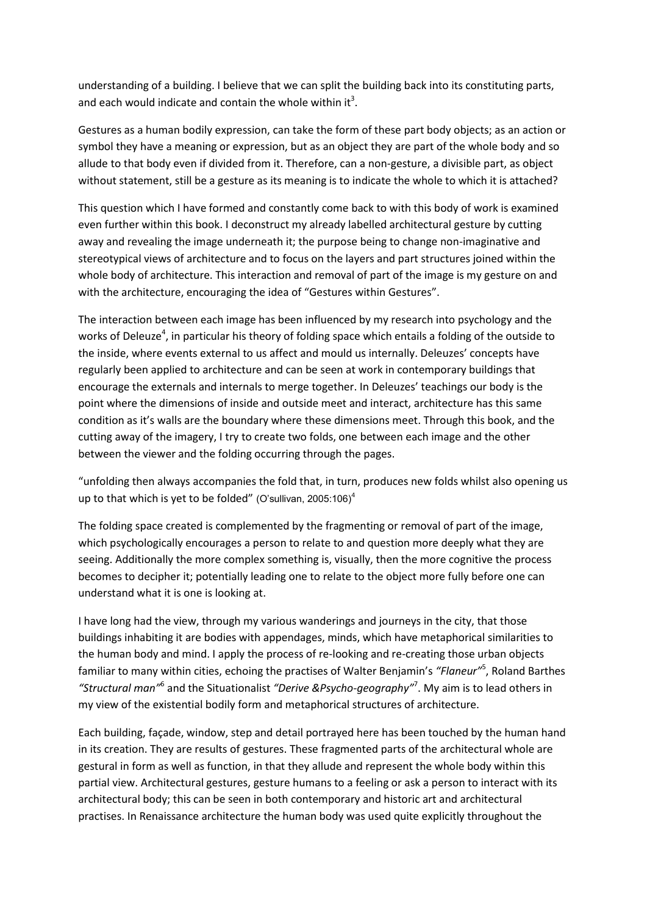understanding of a building. I believe that we can split the building back into its constituting parts, and each would indicate and contain the whole within it<sup>3</sup>.

Gestures as a human bodily expression, can take the form of these part body objects; as an action or symbol they have a meaning or expression, but as an object they are part of the whole body and so allude to that body even if divided from it. Therefore, can a non-gesture, a divisible part, as object without statement, still be a gesture as its meaning is to indicate the whole to which it is attached?

This question which I have formed and constantly come back to with this body of work is examined even further within this book. I deconstruct my already labelled architectural gesture by cutting away and revealing the image underneath it; the purpose being to change non-imaginative and stereotypical views of architecture and to focus on the layers and part structures joined within the whole body of architecture. This interaction and removal of part of the image is my gesture on and with the architecture, encouraging the idea of "Gestures within Gestures".

The interaction between each image has been influenced by my research into psychology and the works of Deleuze<sup>4</sup>, in particular his theory of folding space which entails a folding of the outside to the inside, where events external to us affect and mould us internally. Deleuzes' concepts have regularly been applied to architecture and can be seen at work in contemporary buildings that encourage the externals and internals to merge together. In Deleuzes' teachings our body is the point where the dimensions of inside and outside meet and interact, architecture has this same condition as it's walls are the boundary where these dimensions meet. Through this book, and the cutting away of the imagery, I try to create two folds, one between each image and the other between the viewer and the folding occurring through the pages.

"unfolding then always accompanies the fold that, in turn, produces new folds whilst also opening us up to that which is yet to be folded" (O'sullivan,  $2005:106$ )<sup>4</sup>

The folding space created is complemented by the fragmenting or removal of part of the image, which psychologically encourages a person to relate to and question more deeply what they are seeing. Additionally the more complex something is, visually, then the more cognitive the process becomes to decipher it; potentially leading one to relate to the object more fully before one can understand what it is one is looking at.

I have long had the view, through my various wanderings and journeys in the city, that those buildings inhabiting it are bodies with appendages, minds, which have metaphorical similarities to the human body and mind. I apply the process of re-looking and re-creating those urban objects familiar to many within cities, echoing the practises of Walter Benjamin's *"Flaneur"*<sup>5</sup> , Roland Barthes *"Structural man"*<sup>6</sup> and the Situationalist *"Derive &Psycho-geography"*<sup>7</sup> . My aim is to lead others in my view of the existential bodily form and metaphorical structures of architecture.

Each building, façade, window, step and detail portrayed here has been touched by the human hand in its creation. They are results of gestures. These fragmented parts of the architectural whole are gestural in form as well as function, in that they allude and represent the whole body within this partial view. Architectural gestures, gesture humans to a feeling or ask a person to interact with its architectural body; this can be seen in both contemporary and historic art and architectural practises. In Renaissance architecture the human body was used quite explicitly throughout the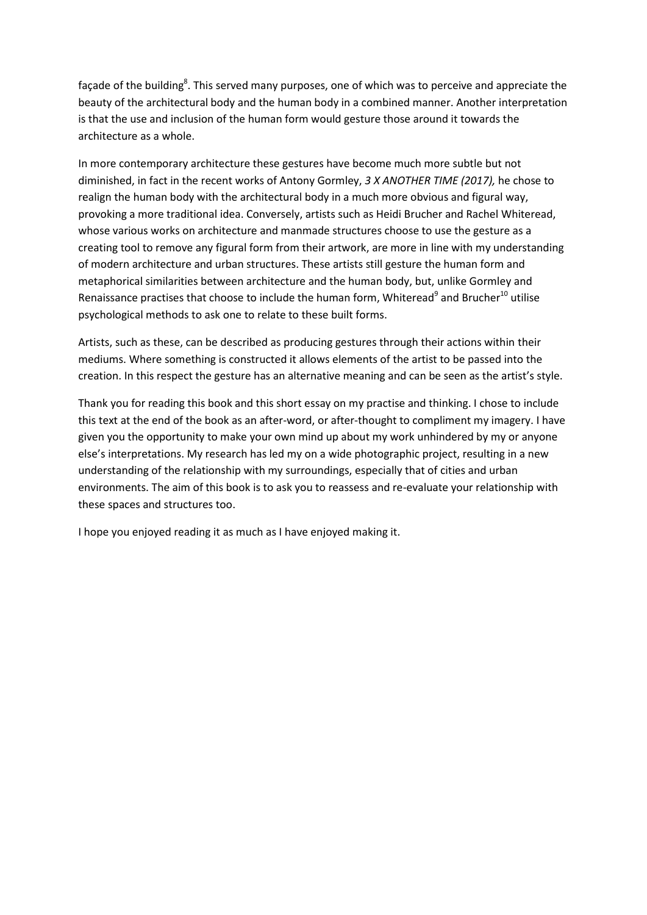façade of the building<sup>8</sup>. This served many purposes, one of which was to perceive and appreciate the beauty of the architectural body and the human body in a combined manner. Another interpretation is that the use and inclusion of the human form would gesture those around it towards the architecture as a whole.

In more contemporary architecture these gestures have become much more subtle but not diminished, in fact in the recent works of Antony Gormley, *3 X ANOTHER TIME (2017),* he chose to realign the human body with the architectural body in a much more obvious and figural way, provoking a more traditional idea. Conversely, artists such as Heidi Brucher and Rachel Whiteread, whose various works on architecture and manmade structures choose to use the gesture as a creating tool to remove any figural form from their artwork, are more in line with my understanding of modern architecture and urban structures. These artists still gesture the human form and metaphorical similarities between architecture and the human body, but, unlike Gormley and Renaissance practises that choose to include the human form, Whiteread<sup>9</sup> and Brucher<sup>10</sup> utilise psychological methods to ask one to relate to these built forms.

Artists, such as these, can be described as producing gestures through their actions within their mediums. Where something is constructed it allows elements of the artist to be passed into the creation. In this respect the gesture has an alternative meaning and can be seen as the artist's style.

Thank you for reading this book and this short essay on my practise and thinking. I chose to include this text at the end of the book as an after-word, or after-thought to compliment my imagery. I have given you the opportunity to make your own mind up about my work unhindered by my or anyone else's interpretations. My research has led my on a wide photographic project, resulting in a new understanding of the relationship with my surroundings, especially that of cities and urban environments. The aim of this book is to ask you to reassess and re-evaluate your relationship with these spaces and structures too.

I hope you enjoyed reading it as much as I have enjoyed making it.